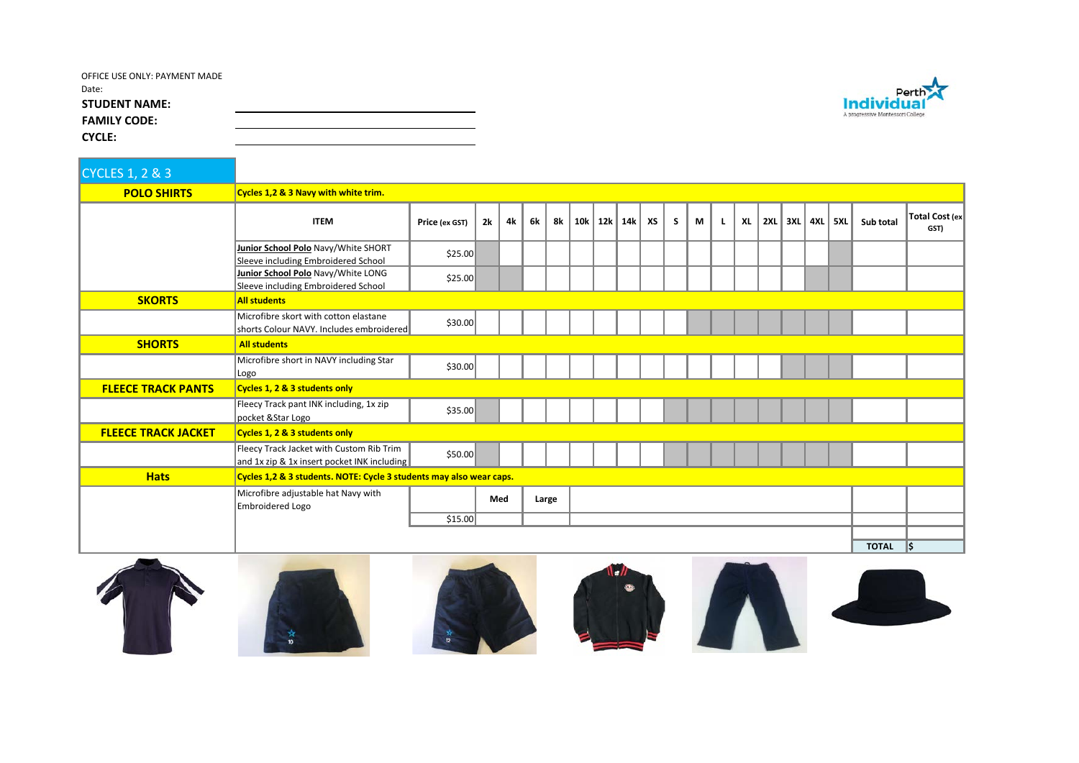| OFFICE USE ONLY: PAYMENT MADE |  |  |
|-------------------------------|--|--|
| Date:                         |  |  |
| <b>STUDENT NAME:</b>          |  |  |
| <b>FAMILY CODE:</b>           |  |  |
| <b>CYCLE:</b>                 |  |  |

| <b>CYCLES 1, 2 &amp; 3</b> |                                                                                         |                |     |    |       |    |     |  |           |    |   |   |    |           |     |       |     |     |              |                        |
|----------------------------|-----------------------------------------------------------------------------------------|----------------|-----|----|-------|----|-----|--|-----------|----|---|---|----|-----------|-----|-------|-----|-----|--------------|------------------------|
| <b>POLO SHIRTS</b>         | Cycles 1,2 & 3 Navy with white trim.                                                    |                |     |    |       |    |     |  |           |    |   |   |    |           |     |       |     |     |              |                        |
|                            | <b>ITEM</b>                                                                             | Price (ex GST) | 2k  | 4k | 6k    | 8k | 10k |  | $12k$ 14k | XS | S | M | L. | <b>XL</b> | 2XL | 3XL I | 4XL | 5XL | Sub total    | Total Cost (ex<br>GST) |
|                            | Junior School Polo Navy/White SHORT<br>Sleeve including Embroidered School              | \$25.00        |     |    |       |    |     |  |           |    |   |   |    |           |     |       |     |     |              |                        |
|                            | Junior School Polo Navy/White LONG<br>Sleeve including Embroidered School               | \$25.00        |     |    |       |    |     |  |           |    |   |   |    |           |     |       |     |     |              |                        |
| <b>SKORTS</b>              | <b>All students</b>                                                                     |                |     |    |       |    |     |  |           |    |   |   |    |           |     |       |     |     |              |                        |
|                            | Microfibre skort with cotton elastane<br>shorts Colour NAVY. Includes embroidered       | \$30.00        |     |    |       |    |     |  |           |    |   |   |    |           |     |       |     |     |              |                        |
| <b>SHORTS</b>              | <b>All students</b>                                                                     |                |     |    |       |    |     |  |           |    |   |   |    |           |     |       |     |     |              |                        |
|                            | Microfibre short in NAVY including Star<br>Logo                                         | \$30.00        |     |    |       |    |     |  |           |    |   |   |    |           |     |       |     |     |              |                        |
| <b>FLEECE TRACK PANTS</b>  | Cycles 1, 2 & 3 students only                                                           |                |     |    |       |    |     |  |           |    |   |   |    |           |     |       |     |     |              |                        |
|                            | Fleecy Track pant INK including, 1x zip<br>pocket & Star Logo                           | \$35.00        |     |    |       |    |     |  |           |    |   |   |    |           |     |       |     |     |              |                        |
| <b>FLEECE TRACK JACKET</b> | Cycles 1, 2 & 3 students only                                                           |                |     |    |       |    |     |  |           |    |   |   |    |           |     |       |     |     |              |                        |
|                            | Fleecy Track Jacket with Custom Rib Trim<br>and 1x zip & 1x insert pocket INK including | \$50.00        |     |    |       |    |     |  |           |    |   |   |    |           |     |       |     |     |              |                        |
| <b>Hats</b>                | Cycles 1,2 & 3 students. NOTE: Cycle 3 students may also wear caps.                     |                |     |    |       |    |     |  |           |    |   |   |    |           |     |       |     |     |              |                        |
|                            | Microfibre adjustable hat Navy with<br>Embroidered Logo                                 |                | Med |    | Large |    |     |  |           |    |   |   |    |           |     |       |     |     |              |                        |
|                            |                                                                                         | \$15.00        |     |    |       |    |     |  |           |    |   |   |    |           |     |       |     |     |              |                        |
|                            |                                                                                         |                |     |    |       |    |     |  |           |    |   |   |    |           |     |       |     |     | <b>TOTAL</b> | l\$                    |



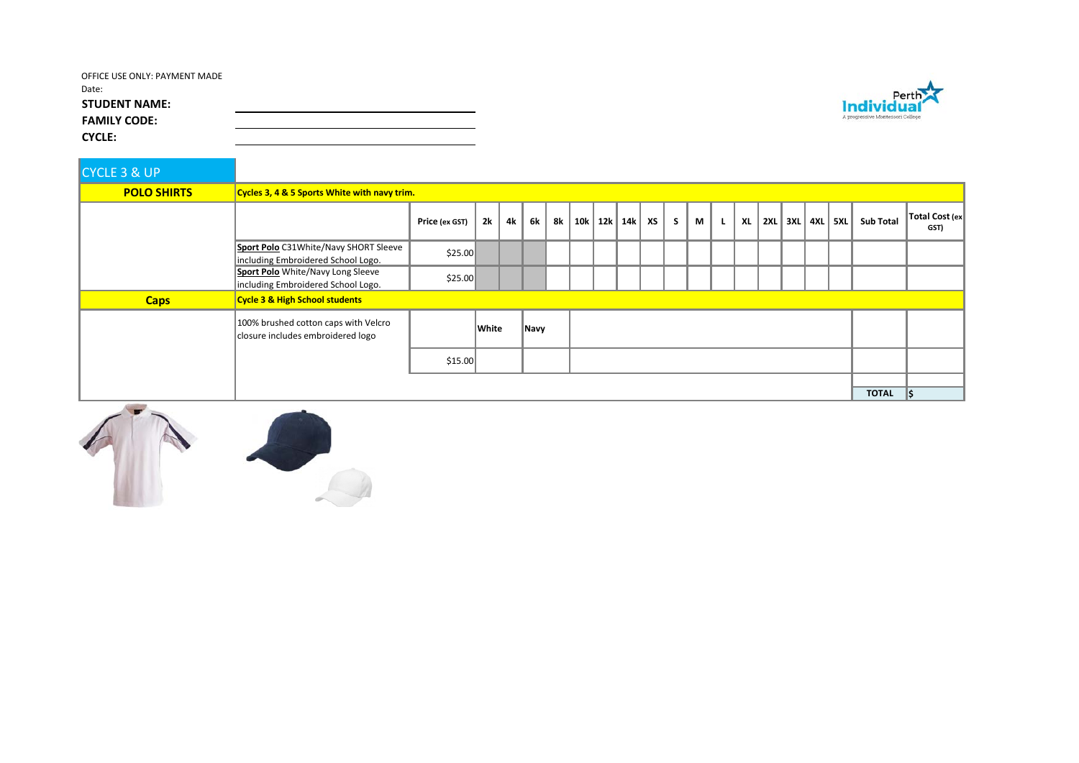| OFFICE USE ONLY: PAYMENT MADE |  |  |
|-------------------------------|--|--|
| Date:                         |  |  |
| <b>STUDENT NAME:</b>          |  |  |
| <b>FAMILY CODE:</b>           |  |  |
| <b>CYCLE:</b>                 |  |  |

| <b>CYCLE 3 &amp; UP</b> |                                                                             |                |       |    |      |    |  |  |                      |  |   |   |  |    |  |  |                       |                  |                        |
|-------------------------|-----------------------------------------------------------------------------|----------------|-------|----|------|----|--|--|----------------------|--|---|---|--|----|--|--|-----------------------|------------------|------------------------|
| <b>POLO SHIRTS</b>      | Cycles 3, 4 & 5 Sports White with navy trim.                                |                |       |    |      |    |  |  |                      |  |   |   |  |    |  |  |                       |                  |                        |
|                         |                                                                             | Price (ex GST) | 2k    | 4k | 6k   | 8k |  |  | 10k   12k   14k   XS |  | S | M |  | XL |  |  | 2XL   3XL   4XL   5XL | <b>Sub Total</b> | Total Cost (ex<br>GST) |
|                         | Sport Polo C31White/Navy SHORT Sleeve<br>including Embroidered School Logo. | \$25.00        |       |    |      |    |  |  |                      |  |   |   |  |    |  |  |                       |                  |                        |
|                         | Sport Polo White/Navy Long Sleeve<br>including Embroidered School Logo.     | \$25.00        |       |    |      |    |  |  |                      |  |   |   |  |    |  |  |                       |                  |                        |
| <b>Caps</b>             | <b>Cycle 3 &amp; High School students</b>                                   |                |       |    |      |    |  |  |                      |  |   |   |  |    |  |  |                       |                  |                        |
|                         | 100% brushed cotton caps with Velcro<br>closure includes embroidered logo   |                | White |    | Navy |    |  |  |                      |  |   |   |  |    |  |  |                       |                  |                        |
|                         |                                                                             | \$15.00        |       |    |      |    |  |  |                      |  |   |   |  |    |  |  |                       |                  |                        |
|                         |                                                                             |                |       |    |      |    |  |  |                      |  |   |   |  |    |  |  |                       |                  |                        |
|                         |                                                                             |                |       |    |      |    |  |  |                      |  |   |   |  |    |  |  |                       | <b>TOTAL</b>     | I\$                    |